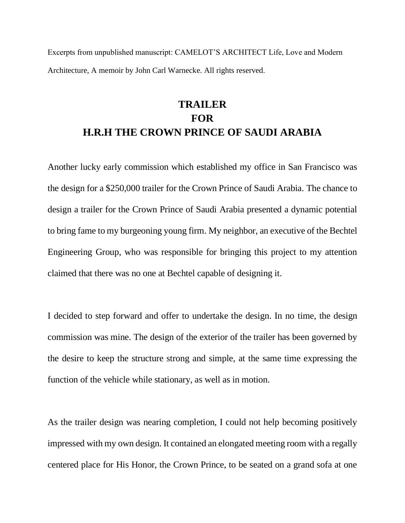Excerpts from unpublished manuscript: CAMELOT'S ARCHITECT Life, Love and Modern Architecture, A memoir by John Carl Warnecke. All rights reserved.

## **TRAILER FOR H.R.H THE CROWN PRINCE OF SAUDI ARABIA**

Another lucky early commission which established my office in San Francisco was the design for a \$250,000 trailer for the Crown Prince of Saudi Arabia. The chance to design a trailer for the Crown Prince of Saudi Arabia presented a dynamic potential to bring fame to my burgeoning young firm. My neighbor, an executive of the Bechtel Engineering Group, who was responsible for bringing this project to my attention claimed that there was no one at Bechtel capable of designing it.

I decided to step forward and offer to undertake the design. In no time, the design commission was mine. The design of the exterior of the trailer has been governed by the desire to keep the structure strong and simple, at the same time expressing the function of the vehicle while stationary, as well as in motion.

As the trailer design was nearing completion, I could not help becoming positively impressed with my own design. It contained an elongated meeting room with a regally centered place for His Honor, the Crown Prince, to be seated on a grand sofa at one